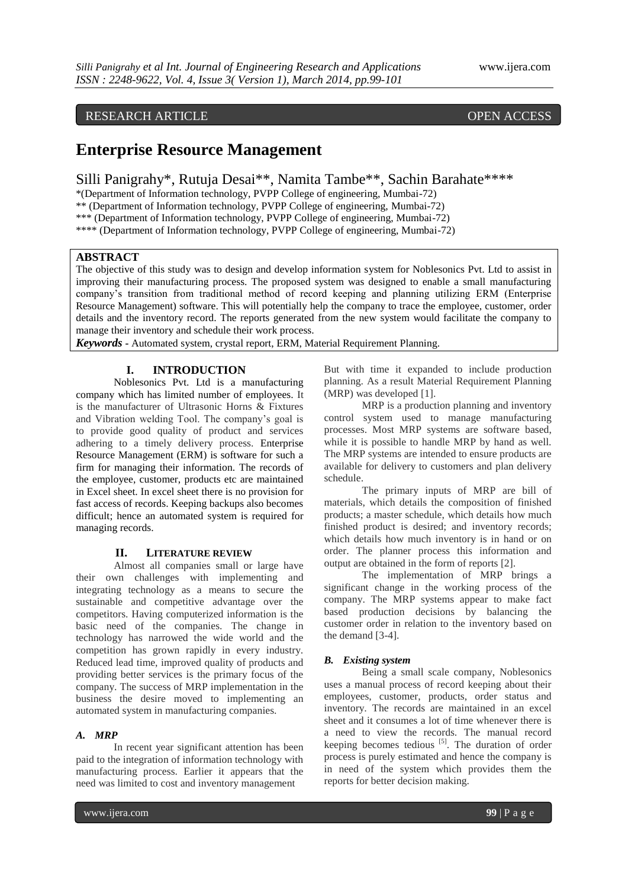# RESEARCH ARTICLE OPEN ACCESS

# **Enterprise Resource Management**

Silli Panigrahy\*, Rutuja Desai\*\*, Namita Tambe\*\*, Sachin Barahate\*\*\*\*

\*(Department of Information technology, PVPP College of engineering, Mumbai-72)

\*\* (Department of Information technology, PVPP College of engineering, Mumbai-72)

\*\*\* (Department of Information technology, PVPP College of engineering, Mumbai-72)

\*\*\*\* (Department of Information technology, PVPP College of engineering, Mumbai-72)

# **ABSTRACT**

The objective of this study was to design and develop information system for Noblesonics Pvt. Ltd to assist in improving their manufacturing process. The proposed system was designed to enable a small manufacturing company's transition from traditional method of record keeping and planning utilizing ERM (Enterprise Resource Management) software. This will potentially help the company to trace the employee, customer, order details and the inventory record. The reports generated from the new system would facilitate the company to manage their inventory and schedule their work process.

*Keywords* **-** Automated system, crystal report, ERM, Material Requirement Planning.

### **I. INTRODUCTION**

Noblesonics Pvt. Ltd is a manufacturing company which has limited number of employees. It is the manufacturer of Ultrasonic Horns & Fixtures and Vibration welding Tool. The company's goal is to provide good quality of product and services adhering to a timely delivery process. Enterprise Resource Management (ERM) is software for such a firm for managing their information. The records of the employee, customer, products etc are maintained in Excel sheet. In excel sheet there is no provision for fast access of records. Keeping backups also becomes difficult; hence an automated system is required for managing records.

### **II. LITERATURE REVIEW**

Almost all companies small or large have their own challenges with implementing and integrating technology as a means to secure the sustainable and competitive advantage over the competitors. Having computerized information is the basic need of the companies. The change in technology has narrowed the wide world and the competition has grown rapidly in every industry. Reduced lead time, improved quality of products and providing better services is the primary focus of the company. The success of MRP implementation in the business the desire moved to implementing an automated system in manufacturing companies.

# *A. MRP*

In recent year significant attention has been paid to the integration of information technology with manufacturing process. Earlier it appears that the need was limited to cost and inventory management

But with time it expanded to include production planning. As a result Material Requirement Planning (MRP) was developed [1].

MRP is a production planning and inventory control system used to manage manufacturing processes. Most MRP systems are software based, while it is possible to handle MRP by hand as well. The MRP systems are intended to ensure products are available for delivery to customers and plan delivery schedule.

 The primary inputs of MRP are bill of materials, which details the composition of finished products; a master schedule, which details how much finished product is desired; and inventory records; which details how much inventory is in hand or on order. The planner process this information and output are obtained in the form of reports [2].

The implementation of MRP brings a significant change in the working process of the company. The MRP systems appear to make fact based production decisions by balancing the customer order in relation to the inventory based on the demand [3-4].

### *B. Existing system*

Being a small scale company, Noblesonics uses a manual process of record keeping about their employees, customer, products, order status and inventory. The records are maintained in an excel sheet and it consumes a lot of time whenever there is a need to view the records. The manual record keeping becomes tedious  $[5]$ . The duration of order process is purely estimated and hence the company is in need of the system which provides them the reports for better decision making.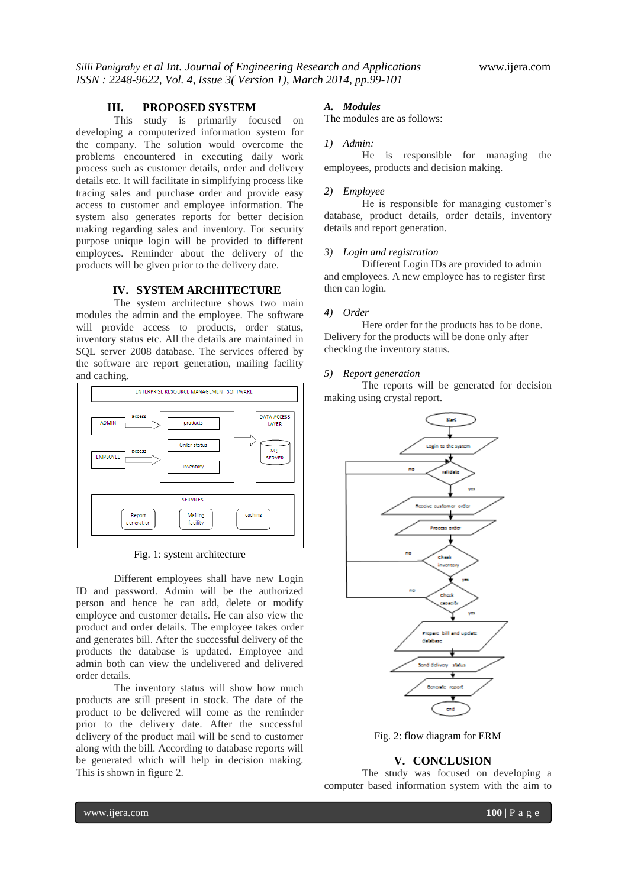# **III. PROPOSED SYSTEM**

This study is primarily focused on developing a computerized information system for the company. The solution would overcome the problems encountered in executing daily work process such as customer details, order and delivery details etc. It will facilitate in simplifying process like tracing sales and purchase order and provide easy access to customer and employee information. The system also generates reports for better decision making regarding sales and inventory. For security purpose unique login will be provided to different employees. Reminder about the delivery of the products will be given prior to the delivery date.

### **IV. SYSTEM ARCHITECTURE**

The system architecture shows two main modules the admin and the employee. The software will provide access to products, order status, inventory status etc. All the details are maintained in SQL server 2008 database. The services offered by the software are report generation, mailing facility and caching.



Fig. 1: system architecture

Different employees shall have new Login ID and password. Admin will be the authorized person and hence he can add, delete or modify employee and customer details. He can also view the product and order details. The employee takes order and generates bill. After the successful delivery of the products the database is updated. Employee and admin both can view the undelivered and delivered order details.

The inventory status will show how much products are still present in stock. The date of the product to be delivered will come as the reminder prior to the delivery date. After the successful delivery of the product mail will be send to customer along with the bill. According to database reports will be generated which will help in decision making. This is shown in figure 2.

# *A. Modules*

The modules are as follows:

#### *1) Admin:*

He is responsible for managing the employees, products and decision making.

### *2) Employee*

He is responsible for managing customer's database, product details, order details, inventory details and report generation.

# *3) Login and registration*

Different Login IDs are provided to admin and employees. A new employee has to register first then can login.

#### *4) Order*

Here order for the products has to be done. Delivery for the products will be done only after checking the inventory status.

## *5) Report generation*

The reports will be generated for decision making using crystal report.



Fig. 2: flow diagram for ERM

### **V. CONCLUSION**

The study was focused on developing a computer based information system with the aim to